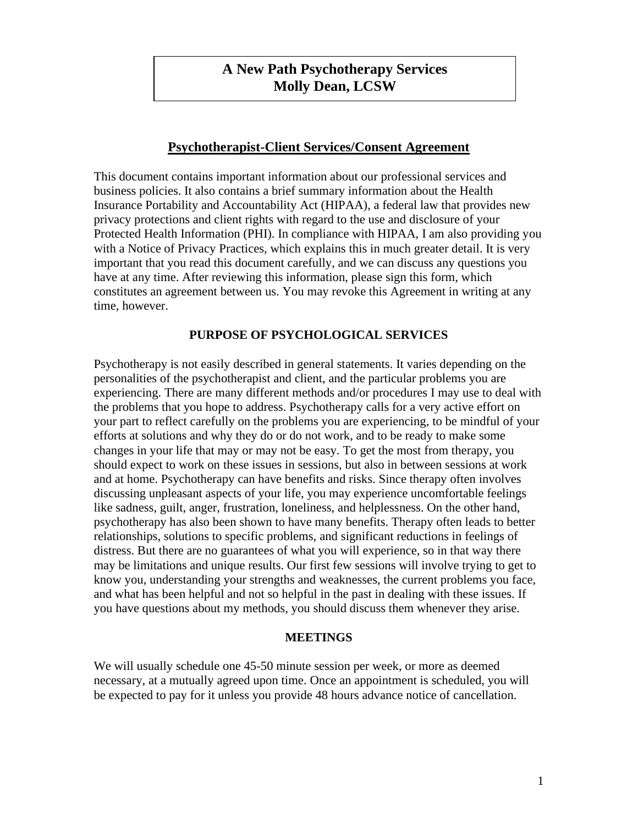# **A New Path Psychotherapy Services Molly Dean, LCSW**

### **Psychotherapist-Client Services/Consent Agreement**

This document contains important information about our professional services and business policies. It also contains a brief summary information about the Health Insurance Portability and Accountability Act (HIPAA), a federal law that provides new privacy protections and client rights with regard to the use and disclosure of your Protected Health Information (PHI). In compliance with HIPAA, I am also providing you with a Notice of Privacy Practices, which explains this in much greater detail. It is very important that you read this document carefully, and we can discuss any questions you have at any time. After reviewing this information, please sign this form, which constitutes an agreement between us. You may revoke this Agreement in writing at any time, however.

# **PURPOSE OF PSYCHOLOGICAL SERVICES**

Psychotherapy is not easily described in general statements. It varies depending on the personalities of the psychotherapist and client, and the particular problems you are experiencing. There are many different methods and/or procedures I may use to deal with the problems that you hope to address. Psychotherapy calls for a very active effort on your part to reflect carefully on the problems you are experiencing, to be mindful of your efforts at solutions and why they do or do not work, and to be ready to make some changes in your life that may or may not be easy. To get the most from therapy, you should expect to work on these issues in sessions, but also in between sessions at work and at home. Psychotherapy can have benefits and risks. Since therapy often involves discussing unpleasant aspects of your life, you may experience uncomfortable feelings like sadness, guilt, anger, frustration, loneliness, and helplessness. On the other hand, psychotherapy has also been shown to have many benefits. Therapy often leads to better relationships, solutions to specific problems, and significant reductions in feelings of distress. But there are no guarantees of what you will experience, so in that way there may be limitations and unique results. Our first few sessions will involve trying to get to know you, understanding your strengths and weaknesses, the current problems you face, and what has been helpful and not so helpful in the past in dealing with these issues. If you have questions about my methods, you should discuss them whenever they arise.

#### **MEETINGS**

We will usually schedule one 45-50 minute session per week, or more as deemed necessary, at a mutually agreed upon time. Once an appointment is scheduled, you will be expected to pay for it unless you provide 48 hours advance notice of cancellation.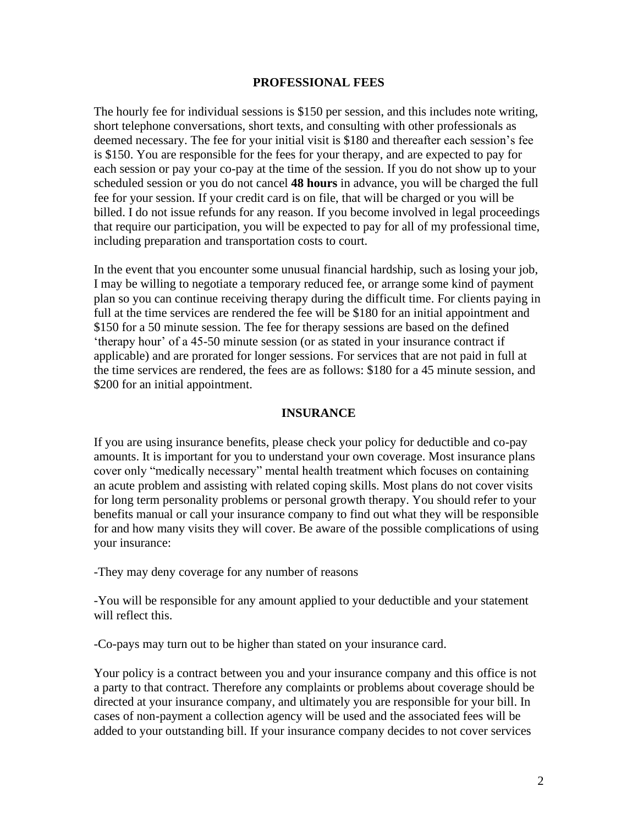#### **PROFESSIONAL FEES**

The hourly fee for individual sessions is \$150 per session, and this includes note writing, short telephone conversations, short texts, and consulting with other professionals as deemed necessary. The fee for your initial visit is \$180 and thereafter each session's fee is \$150. You are responsible for the fees for your therapy, and are expected to pay for each session or pay your co-pay at the time of the session. If you do not show up to your scheduled session or you do not cancel **48 hours** in advance, you will be charged the full fee for your session. If your credit card is on file, that will be charged or you will be billed. I do not issue refunds for any reason. If you become involved in legal proceedings that require our participation, you will be expected to pay for all of my professional time, including preparation and transportation costs to court.

In the event that you encounter some unusual financial hardship, such as losing your job, I may be willing to negotiate a temporary reduced fee, or arrange some kind of payment plan so you can continue receiving therapy during the difficult time. For clients paying in full at the time services are rendered the fee will be \$180 for an initial appointment and \$150 for a 50 minute session. The fee for therapy sessions are based on the defined 'therapy hour' of a 45-50 minute session (or as stated in your insurance contract if applicable) and are prorated for longer sessions. For services that are not paid in full at the time services are rendered, the fees are as follows: \$180 for a 45 minute session, and \$200 for an initial appointment.

#### **INSURANCE**

If you are using insurance benefits, please check your policy for deductible and co-pay amounts. It is important for you to understand your own coverage. Most insurance plans cover only "medically necessary" mental health treatment which focuses on containing an acute problem and assisting with related coping skills. Most plans do not cover visits for long term personality problems or personal growth therapy. You should refer to your benefits manual or call your insurance company to find out what they will be responsible for and how many visits they will cover. Be aware of the possible complications of using your insurance:

-They may deny coverage for any number of reasons

-You will be responsible for any amount applied to your deductible and your statement will reflect this.

-Co-pays may turn out to be higher than stated on your insurance card.

Your policy is a contract between you and your insurance company and this office is not a party to that contract. Therefore any complaints or problems about coverage should be directed at your insurance company, and ultimately you are responsible for your bill. In cases of non-payment a collection agency will be used and the associated fees will be added to your outstanding bill. If your insurance company decides to not cover services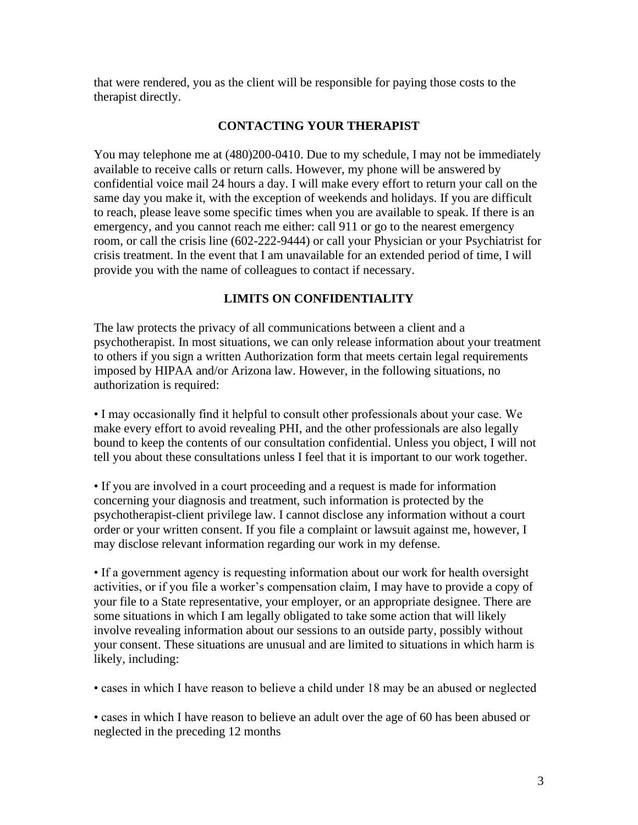that were rendered, you as the client will be responsible for paying those costs to the therapist directly.

### **CONTACTING YOUR THERAPIST**

You may telephone me at (480)200-0410. Due to my schedule, I may not be immediately available to receive calls or return calls. However, my phone will be answered by confidential voice mail 24 hours a day. I will make every effort to return your call on the same day you make it, with the exception of weekends and holidays. If you are difficult to reach, please leave some specific times when you are available to speak. If there is an emergency, and you cannot reach me either: call 911 or go to the nearest emergency room, or call the crisis line (602-222-9444) or call your Physician or your Psychiatrist for crisis treatment. In the event that I am unavailable for an extended period of time, I will provide you with the name of colleagues to contact if necessary.

#### **LIMITS ON CONFIDENTIALITY**

The law protects the privacy of all communications between a client and a psychotherapist. In most situations, we can only release information about your treatment to others if you sign a written Authorization form that meets certain legal requirements imposed by HIPAA and/or Arizona law. However, in the following situations, no authorization is required:

• I may occasionally find it helpful to consult other professionals about your case. We make every effort to avoid revealing PHI, and the other professionals are also legally bound to keep the contents of our consultation confidential. Unless you object, I will not tell you about these consultations unless I feel that it is important to our work together.

• If you are involved in a court proceeding and a request is made for information concerning your diagnosis and treatment, such information is protected by the psychotherapist-client privilege law. I cannot disclose any information without a court order or your written consent. If you file a complaint or lawsuit against me, however, I may disclose relevant information regarding our work in my defense.

• If a government agency is requesting information about our work for health oversight activities, or if you file a worker's compensation claim, I may have to provide a copy of your file to a State representative, your employer, or an appropriate designee. There are some situations in which I am legally obligated to take some action that will likely involve revealing information about our sessions to an outside party, possibly without your consent. These situations are unusual and are limited to situations in which harm is likely, including:

• cases in which I have reason to believe a child under 18 may be an abused or neglected

• cases in which I have reason to believe an adult over the age of 60 has been abused or neglected in the preceding 12 months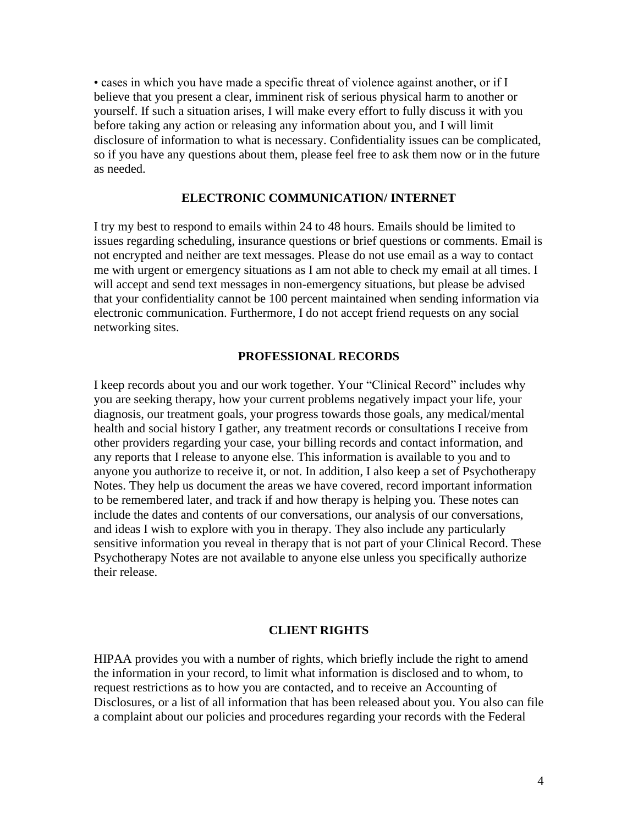• cases in which you have made a specific threat of violence against another, or if I believe that you present a clear, imminent risk of serious physical harm to another or yourself. If such a situation arises, I will make every effort to fully discuss it with you before taking any action or releasing any information about you, and I will limit disclosure of information to what is necessary. Confidentiality issues can be complicated, so if you have any questions about them, please feel free to ask them now or in the future as needed.

#### **ELECTRONIC COMMUNICATION/ INTERNET**

I try my best to respond to emails within 24 to 48 hours. Emails should be limited to issues regarding scheduling, insurance questions or brief questions or comments. Email is not encrypted and neither are text messages. Please do not use email as a way to contact me with urgent or emergency situations as I am not able to check my email at all times. I will accept and send text messages in non-emergency situations, but please be advised that your confidentiality cannot be 100 percent maintained when sending information via electronic communication. Furthermore, I do not accept friend requests on any social networking sites.

#### **PROFESSIONAL RECORDS**

I keep records about you and our work together. Your "Clinical Record" includes why you are seeking therapy, how your current problems negatively impact your life, your diagnosis, our treatment goals, your progress towards those goals, any medical/mental health and social history I gather, any treatment records or consultations I receive from other providers regarding your case, your billing records and contact information, and any reports that I release to anyone else. This information is available to you and to anyone you authorize to receive it, or not. In addition, I also keep a set of Psychotherapy Notes. They help us document the areas we have covered, record important information to be remembered later, and track if and how therapy is helping you. These notes can include the dates and contents of our conversations, our analysis of our conversations, and ideas I wish to explore with you in therapy. They also include any particularly sensitive information you reveal in therapy that is not part of your Clinical Record. These Psychotherapy Notes are not available to anyone else unless you specifically authorize their release.

#### **CLIENT RIGHTS**

HIPAA provides you with a number of rights, which briefly include the right to amend the information in your record, to limit what information is disclosed and to whom, to request restrictions as to how you are contacted, and to receive an Accounting of Disclosures, or a list of all information that has been released about you. You also can file a complaint about our policies and procedures regarding your records with the Federal